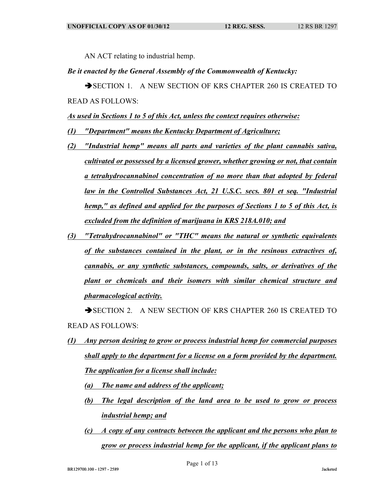AN ACT relating to industrial hemp.

## *Be it enacted by the General Assembly of the Commonwealth of Kentucky:*

SECTION 1. A NEW SECTION OF KRS CHAPTER 260 IS CREATED TO READ AS FOLLOWS:

*As used in Sections 1 to 5 of this Act, unless the context requires otherwise:*

- *(1) "Department" means the Kentucky Department of Agriculture;*
- *(2) "Industrial hemp" means all parts and varieties of the plant cannabis sativa, cultivated or possessed by a licensed grower, whether growing or not, that contain a tetrahydrocannabinol concentration of no more than that adopted by federal law in the Controlled Substances Act, 21 U.S.C. secs. 801 et seq. "Industrial hemp," as defined and applied for the purposes of Sections 1 to 5 of this Act, is excluded from the definition of marijuana in KRS 218A.010; and*
- *(3) "Tetrahydrocannabinol" or "THC" means the natural or synthetic equivalents of the substances contained in the plant, or in the resinous extractives of, cannabis, or any synthetic substances, compounds, salts, or derivatives of the plant or chemicals and their isomers with similar chemical structure and pharmacological activity.*

SECTION 2. A NEW SECTION OF KRS CHAPTER 260 IS CREATED TO READ AS FOLLOWS:

- *(1) Any person desiring to grow or process industrial hemp for commercial purposes shall apply to the department for a license on a form provided by the department. The application for a license shall include:*
	- *(a) The name and address of the applicant;*
	- *(b) The legal description of the land area to be used to grow or process industrial hemp; and*
	- *(c) A copy of any contracts between the applicant and the persons who plan to grow or process industrial hemp for the applicant, if the applicant plans to*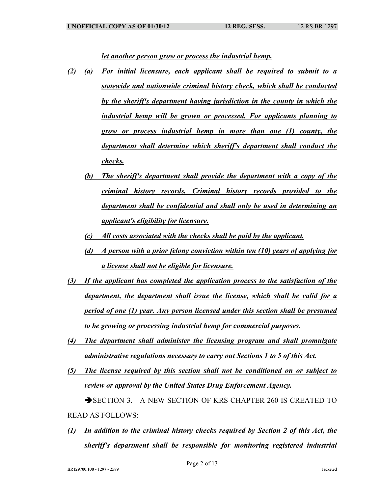*let another person grow or process the industrial hemp.*

- *(2) (a) For initial licensure, each applicant shall be required to submit to a statewide and nationwide criminal history check, which shall be conducted by the sheriff's department having jurisdiction in the county in which the industrial hemp will be grown or processed. For applicants planning to grow or process industrial hemp in more than one (1) county, the department shall determine which sheriff's department shall conduct the checks.*
	- *(b) The sheriff's department shall provide the department with a copy of the criminal history records. Criminal history records provided to the department shall be confidential and shall only be used in determining an applicant's eligibility for licensure.*
	- *(c) All costs associated with the checks shall be paid by the applicant.*
	- *(d) A person with a prior felony conviction within ten (10) years of applying for a license shall not be eligible for licensure.*
- *(3) If the applicant has completed the application process to the satisfaction of the department, the department shall issue the license, which shall be valid for a period of one (1) year. Any person licensed under this section shall be presumed to be growing or processing industrial hemp for commercial purposes.*
- *(4) The department shall administer the licensing program and shall promulgate administrative regulations necessary to carry out Sections 1 to 5 of this Act.*
- *(5) The license required by this section shall not be conditioned on or subject to review or approval by the United States Drug Enforcement Agency.* SECTION 3. A NEW SECTION OF KRS CHAPTER 260 IS CREATED TO

READ AS FOLLOWS:

*(1) In addition to the criminal history checks required by Section 2 of this Act, the sheriff's department shall be responsible for monitoring registered industrial*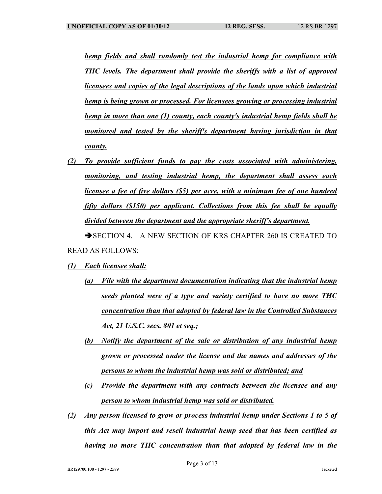*hemp fields and shall randomly test the industrial hemp for compliance with THC levels. The department shall provide the sheriffs with a list of approved licensees and copies of the legal descriptions of the lands upon which industrial hemp is being grown or processed. For licensees growing or processing industrial hemp in more than one (1) county, each county's industrial hemp fields shall be monitored and tested by the sheriff's department having jurisdiction in that county.*

*(2) To provide sufficient funds to pay the costs associated with administering, monitoring, and testing industrial hemp, the department shall assess each licensee a fee of five dollars (\$5) per acre, with a minimum fee of one hundred fifty dollars (\$150) per applicant. Collections from this fee shall be equally divided between the department and the appropriate sheriff's department.*

SECTION 4. A NEW SECTION OF KRS CHAPTER 260 IS CREATED TO READ AS FOLLOWS:

- *(1) Each licensee shall:*
	- *(a) File with the department documentation indicating that the industrial hemp seeds planted were of a type and variety certified to have no more THC concentration than that adopted by federal law in the Controlled Substances Act, 21 U.S.C. secs. 801 et seq.;*
	- *(b) Notify the department of the sale or distribution of any industrial hemp grown or processed under the license and the names and addresses of the persons to whom the industrial hemp was sold or distributed; and*
	- *(c) Provide the department with any contracts between the licensee and any person to whom industrial hemp was sold or distributed.*
- *(2) Any person licensed to grow or process industrial hemp under Sections 1 to 5 of this Act may import and resell industrial hemp seed that has been certified as having no more THC concentration than that adopted by federal law in the*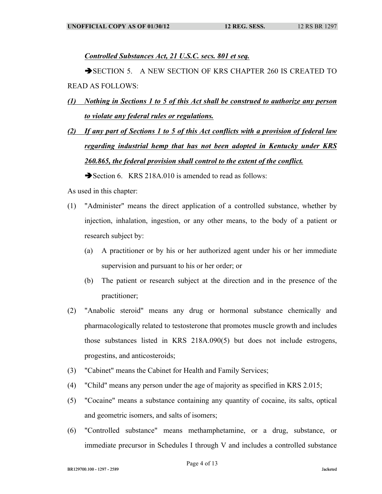*Controlled Substances Act, 21 U.S.C. secs. 801 et seq.*

SECTION 5. A NEW SECTION OF KRS CHAPTER 260 IS CREATED TO READ AS FOLLOWS:

- *(1) Nothing in Sections 1 to 5 of this Act shall be construed to authorize any person to violate any federal rules or regulations.*
- *(2) If any part of Sections 1 to 5 of this Act conflicts with a provision of federal law regarding industrial hemp that has not been adopted in Kentucky under KRS 260.865, the federal provision shall control to the extent of the conflict.*

Section 6. KRS 218A.010 is amended to read as follows:

As used in this chapter:

- (1) "Administer" means the direct application of a controlled substance, whether by injection, inhalation, ingestion, or any other means, to the body of a patient or research subject by:
	- (a) A practitioner or by his or her authorized agent under his or her immediate supervision and pursuant to his or her order; or
	- (b) The patient or research subject at the direction and in the presence of the practitioner;
- (2) "Anabolic steroid" means any drug or hormonal substance chemically and pharmacologically related to testosterone that promotes muscle growth and includes those substances listed in KRS 218A.090(5) but does not include estrogens, progestins, and anticosteroids;
- (3) "Cabinet" means the Cabinet for Health and Family Services;
- (4) "Child" means any person under the age of majority as specified in KRS 2.015;
- (5) "Cocaine" means a substance containing any quantity of cocaine, its salts, optical and geometric isomers, and salts of isomers;
- (6) "Controlled substance" means methamphetamine, or a drug, substance, or immediate precursor in Schedules I through V and includes a controlled substance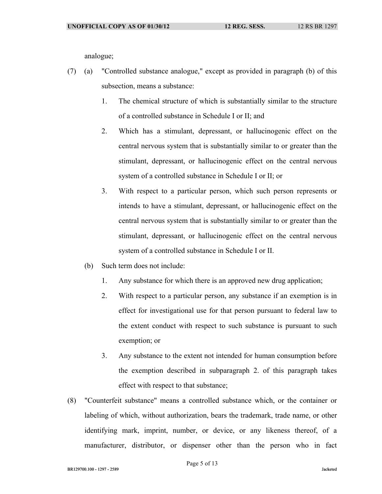analogue;

- (7) (a) "Controlled substance analogue," except as provided in paragraph (b) of this subsection, means a substance:
	- 1. The chemical structure of which is substantially similar to the structure of a controlled substance in Schedule I or II; and
	- 2. Which has a stimulant, depressant, or hallucinogenic effect on the central nervous system that is substantially similar to or greater than the stimulant, depressant, or hallucinogenic effect on the central nervous system of a controlled substance in Schedule I or II; or
	- 3. With respect to a particular person, which such person represents or intends to have a stimulant, depressant, or hallucinogenic effect on the central nervous system that is substantially similar to or greater than the stimulant, depressant, or hallucinogenic effect on the central nervous system of a controlled substance in Schedule I or II.
	- (b) Such term does not include:
		- 1. Any substance for which there is an approved new drug application;
		- 2. With respect to a particular person, any substance if an exemption is in effect for investigational use for that person pursuant to federal law to the extent conduct with respect to such substance is pursuant to such exemption; or
		- 3. Any substance to the extent not intended for human consumption before the exemption described in subparagraph 2. of this paragraph takes effect with respect to that substance;
- (8) "Counterfeit substance" means a controlled substance which, or the container or labeling of which, without authorization, bears the trademark, trade name, or other identifying mark, imprint, number, or device, or any likeness thereof, of a manufacturer, distributor, or dispenser other than the person who in fact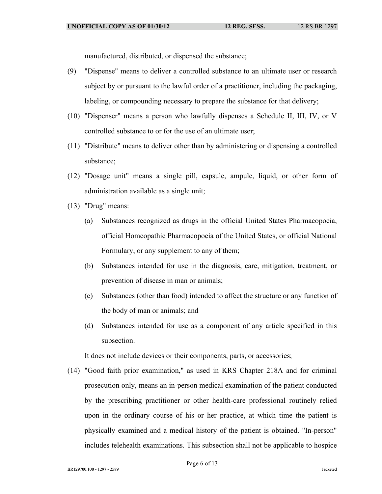manufactured, distributed, or dispensed the substance;

- (9) "Dispense" means to deliver a controlled substance to an ultimate user or research subject by or pursuant to the lawful order of a practitioner, including the packaging, labeling, or compounding necessary to prepare the substance for that delivery;
- (10) "Dispenser" means a person who lawfully dispenses a Schedule II, III, IV, or V controlled substance to or for the use of an ultimate user;
- (11) "Distribute" means to deliver other than by administering or dispensing a controlled substance;
- (12) "Dosage unit" means a single pill, capsule, ampule, liquid, or other form of administration available as a single unit;
- (13) "Drug" means:
	- (a) Substances recognized as drugs in the official United States Pharmacopoeia, official Homeopathic Pharmacopoeia of the United States, or official National Formulary, or any supplement to any of them;
	- (b) Substances intended for use in the diagnosis, care, mitigation, treatment, or prevention of disease in man or animals;
	- (c) Substances (other than food) intended to affect the structure or any function of the body of man or animals; and
	- (d) Substances intended for use as a component of any article specified in this subsection.

It does not include devices or their components, parts, or accessories;

(14) "Good faith prior examination," as used in KRS Chapter 218A and for criminal prosecution only, means an in-person medical examination of the patient conducted by the prescribing practitioner or other health-care professional routinely relied upon in the ordinary course of his or her practice, at which time the patient is physically examined and a medical history of the patient is obtained. "In-person" includes telehealth examinations. This subsection shall not be applicable to hospice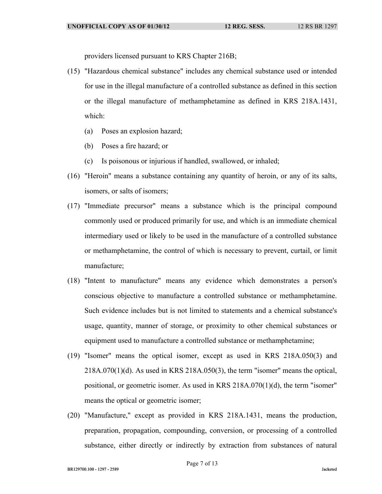providers licensed pursuant to KRS Chapter 216B;

- (15) "Hazardous chemical substance" includes any chemical substance used or intended for use in the illegal manufacture of a controlled substance as defined in this section or the illegal manufacture of methamphetamine as defined in KRS 218A.1431, which:
	- (a) Poses an explosion hazard;
	- (b) Poses a fire hazard; or
	- (c) Is poisonous or injurious if handled, swallowed, or inhaled;
- (16) "Heroin" means a substance containing any quantity of heroin, or any of its salts, isomers, or salts of isomers;
- (17) "Immediate precursor" means a substance which is the principal compound commonly used or produced primarily for use, and which is an immediate chemical intermediary used or likely to be used in the manufacture of a controlled substance or methamphetamine, the control of which is necessary to prevent, curtail, or limit manufacture;
- (18) "Intent to manufacture" means any evidence which demonstrates a person's conscious objective to manufacture a controlled substance or methamphetamine. Such evidence includes but is not limited to statements and a chemical substance's usage, quantity, manner of storage, or proximity to other chemical substances or equipment used to manufacture a controlled substance or methamphetamine;
- (19) "Isomer" means the optical isomer, except as used in KRS 218A.050(3) and  $218A.070(1)(d)$ . As used in KRS  $218A.050(3)$ , the term "isomer" means the optical, positional, or geometric isomer. As used in KRS 218A.070(1)(d), the term "isomer" means the optical or geometric isomer;
- (20) "Manufacture," except as provided in KRS 218A.1431, means the production, preparation, propagation, compounding, conversion, or processing of a controlled substance, either directly or indirectly by extraction from substances of natural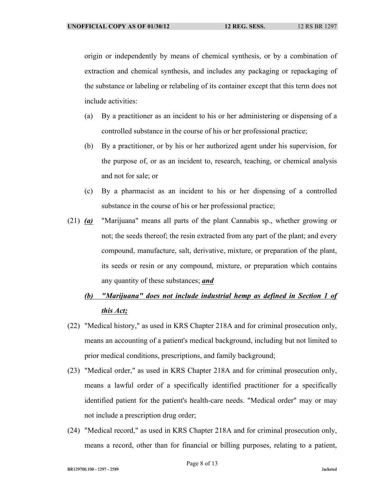origin or independently by means of chemical synthesis, or by a combination of extraction and chemical synthesis, and includes any packaging or repackaging of the substance or labeling or relabeling of its container except that this term does not include activities:

- (a) By a practitioner as an incident to his or her administering or dispensing of a controlled substance in the course of his or her professional practice;
- (b) By a practitioner, or by his or her authorized agent under his supervision, for the purpose of, or as an incident to, research, teaching, or chemical analysis and not for sale; or
- (c) By a pharmacist as an incident to his or her dispensing of a controlled substance in the course of his or her professional practice;
- (21) *(a)* "Marijuana" means all parts of the plant Cannabis sp., whether growing or not; the seeds thereof; the resin extracted from any part of the plant; and every compound, manufacture, salt, derivative, mixture, or preparation of the plant, its seeds or resin or any compound, mixture, or preparation which contains any quantity of these substances; *and*
	- *(b) "Marijuana" does not include industrial hemp as defined in Section 1 of this Act;*
- (22) "Medical history," as used in KRS Chapter 218A and for criminal prosecution only, means an accounting of a patient's medical background, including but not limited to prior medical conditions, prescriptions, and family background;
- (23) "Medical order," as used in KRS Chapter 218A and for criminal prosecution only, means a lawful order of a specifically identified practitioner for a specifically identified patient for the patient's health-care needs. "Medical order" may or may not include a prescription drug order;
- (24) "Medical record," as used in KRS Chapter 218A and for criminal prosecution only, means a record, other than for financial or billing purposes, relating to a patient,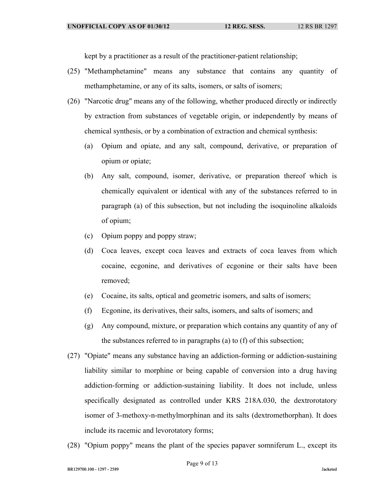kept by a practitioner as a result of the practitioner-patient relationship;

- (25) "Methamphetamine" means any substance that contains any quantity of methamphetamine, or any of its salts, isomers, or salts of isomers;
- (26) "Narcotic drug" means any of the following, whether produced directly or indirectly by extraction from substances of vegetable origin, or independently by means of chemical synthesis, or by a combination of extraction and chemical synthesis:
	- (a) Opium and opiate, and any salt, compound, derivative, or preparation of opium or opiate;
	- (b) Any salt, compound, isomer, derivative, or preparation thereof which is chemically equivalent or identical with any of the substances referred to in paragraph (a) of this subsection, but not including the isoquinoline alkaloids of opium;
	- (c) Opium poppy and poppy straw;
	- (d) Coca leaves, except coca leaves and extracts of coca leaves from which cocaine, ecgonine, and derivatives of ecgonine or their salts have been removed;
	- (e) Cocaine, its salts, optical and geometric isomers, and salts of isomers;
	- (f) Ecgonine, its derivatives, their salts, isomers, and salts of isomers; and
	- (g) Any compound, mixture, or preparation which contains any quantity of any of the substances referred to in paragraphs (a) to (f) of this subsection;
- (27) "Opiate" means any substance having an addiction-forming or addiction-sustaining liability similar to morphine or being capable of conversion into a drug having addiction-forming or addiction-sustaining liability. It does not include, unless specifically designated as controlled under KRS 218A.030, the dextrorotatory isomer of 3-methoxy-n-methylmorphinan and its salts (dextromethorphan). It does include its racemic and levorotatory forms;
- (28) "Opium poppy" means the plant of the species papaver somniferum L., except its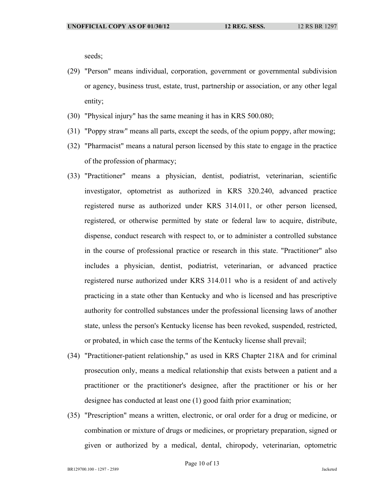seeds;

- (29) "Person" means individual, corporation, government or governmental subdivision or agency, business trust, estate, trust, partnership or association, or any other legal entity;
- (30) "Physical injury" has the same meaning it has in KRS 500.080;
- (31) "Poppy straw" means all parts, except the seeds, of the opium poppy, after mowing;
- (32) "Pharmacist" means a natural person licensed by this state to engage in the practice of the profession of pharmacy;
- (33) "Practitioner" means a physician, dentist, podiatrist, veterinarian, scientific investigator, optometrist as authorized in KRS 320.240, advanced practice registered nurse as authorized under KRS 314.011, or other person licensed, registered, or otherwise permitted by state or federal law to acquire, distribute, dispense, conduct research with respect to, or to administer a controlled substance in the course of professional practice or research in this state. "Practitioner" also includes a physician, dentist, podiatrist, veterinarian, or advanced practice registered nurse authorized under KRS 314.011 who is a resident of and actively practicing in a state other than Kentucky and who is licensed and has prescriptive authority for controlled substances under the professional licensing laws of another state, unless the person's Kentucky license has been revoked, suspended, restricted, or probated, in which case the terms of the Kentucky license shall prevail;
- (34) "Practitioner-patient relationship," as used in KRS Chapter 218A and for criminal prosecution only, means a medical relationship that exists between a patient and a practitioner or the practitioner's designee, after the practitioner or his or her designee has conducted at least one (1) good faith prior examination;
- (35) "Prescription" means a written, electronic, or oral order for a drug or medicine, or combination or mixture of drugs or medicines, or proprietary preparation, signed or given or authorized by a medical, dental, chiropody, veterinarian, optometric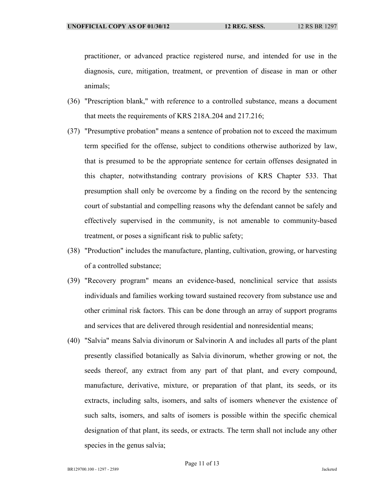practitioner, or advanced practice registered nurse, and intended for use in the diagnosis, cure, mitigation, treatment, or prevention of disease in man or other animals;

- (36) "Prescription blank," with reference to a controlled substance, means a document that meets the requirements of KRS 218A.204 and 217.216;
- (37) "Presumptive probation" means a sentence of probation not to exceed the maximum term specified for the offense, subject to conditions otherwise authorized by law, that is presumed to be the appropriate sentence for certain offenses designated in this chapter, notwithstanding contrary provisions of KRS Chapter 533. That presumption shall only be overcome by a finding on the record by the sentencing court of substantial and compelling reasons why the defendant cannot be safely and effectively supervised in the community, is not amenable to community-based treatment, or poses a significant risk to public safety;
- (38) "Production" includes the manufacture, planting, cultivation, growing, or harvesting of a controlled substance;
- (39) "Recovery program" means an evidence-based, nonclinical service that assists individuals and families working toward sustained recovery from substance use and other criminal risk factors. This can be done through an array of support programs and services that are delivered through residential and nonresidential means;
- (40) "Salvia" means Salvia divinorum or Salvinorin A and includes all parts of the plant presently classified botanically as Salvia divinorum, whether growing or not, the seeds thereof, any extract from any part of that plant, and every compound, manufacture, derivative, mixture, or preparation of that plant, its seeds, or its extracts, including salts, isomers, and salts of isomers whenever the existence of such salts, isomers, and salts of isomers is possible within the specific chemical designation of that plant, its seeds, or extracts. The term shall not include any other species in the genus salvia;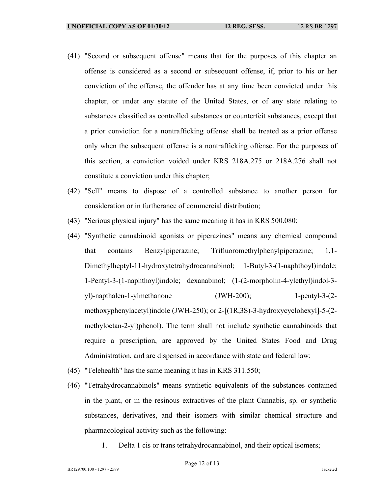- (41) "Second or subsequent offense" means that for the purposes of this chapter an offense is considered as a second or subsequent offense, if, prior to his or her conviction of the offense, the offender has at any time been convicted under this chapter, or under any statute of the United States, or of any state relating to substances classified as controlled substances or counterfeit substances, except that a prior conviction for a nontrafficking offense shall be treated as a prior offense only when the subsequent offense is a nontrafficking offense. For the purposes of this section, a conviction voided under KRS 218A.275 or 218A.276 shall not constitute a conviction under this chapter;
- (42) "Sell" means to dispose of a controlled substance to another person for consideration or in furtherance of commercial distribution;
- (43) "Serious physical injury" has the same meaning it has in KRS 500.080;
- (44) "Synthetic cannabinoid agonists or piperazines" means any chemical compound that contains Benzylpiperazine; Trifluoromethylphenylpiperazine; 1,1- Dimethylheptyl-11-hydroxytetrahydrocannabinol; 1-Butyl-3-(1-naphthoyl)indole; 1-Pentyl-3-(1-naphthoyl)indole; dexanabinol; (1-(2-morpholin-4-ylethyl)indol-3 yl)-napthalen-1-ylmethanone (JWH-200); 1-pentyl-3-(2 methoxyphenylacetyl)indole (JWH-250); or 2-[(1R,3S)-3-hydroxycyclohexyl]-5-(2 methyloctan-2-yl)phenol). The term shall not include synthetic cannabinoids that require a prescription, are approved by the United States Food and Drug Administration, and are dispensed in accordance with state and federal law;
- (45) "Telehealth" has the same meaning it has in KRS 311.550;
- (46) "Tetrahydrocannabinols" means synthetic equivalents of the substances contained in the plant, or in the resinous extractives of the plant Cannabis, sp. or synthetic substances, derivatives, and their isomers with similar chemical structure and pharmacological activity such as the following:
	- 1. Delta 1 cis or trans tetrahydrocannabinol, and their optical isomers;